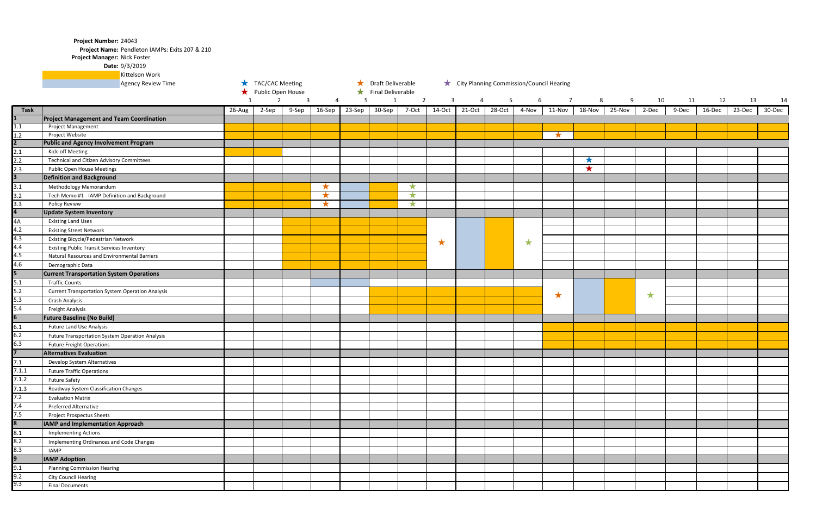Project Name: Pendleton IAMPs: Exits 207 & 210

Project Manager: Nick Foster

## 9/3/2019 **Date:**

|             | Kittelson Work                                          |                        |                |              |            |                   |              |                                          |              |        |        |       |        |            |
|-------------|---------------------------------------------------------|------------------------|----------------|--------------|------------|-------------------|--------------|------------------------------------------|--------------|--------|--------|-------|--------|------------|
|             | <b>Agency Review Time</b>                               | <b>TAC/CAC Meeting</b> |                |              |            | Draft Deliverable |              | City Planning Commission/Council Hearing |              |        |        |       |        |            |
|             |                                                         | Public Open House      |                |              | $\star$    | Final Deliverable |              |                                          |              |        |        |       |        |            |
|             |                                                         | $\mathbf{1}$           | $\overline{2}$ | $\mathbf{3}$ | 4          | 5                 | $\mathbf{1}$ | $\overline{2}$                           | $\mathbf{3}$ | 4      | 5      | 6     |        |            |
| <b>Task</b> |                                                         | 26-Aug                 | 2-Sep          | 9-Sep        | 16-Sep     | 23-Sep            | 30-Sep       | 7-Oct                                    | 14-Oct       | 21-Oct | 28-Oct | 4-Nov | 11-Nov | 18-Nov     |
|             | <b>Project Management and Team Coordination</b>         |                        |                |              |            |                   |              |                                          |              |        |        |       |        |            |
| 1.1         | <b>Project Management</b>                               |                        |                |              |            |                   |              |                                          |              |        |        |       |        |            |
| $1.2\,$     | Project Website                                         |                        |                |              |            |                   |              |                                          |              |        |        |       |        |            |
| 2           | <b>Public and Agency Involvement Program</b>            |                        |                |              |            |                   |              |                                          |              |        |        |       |        |            |
| 2.1         | Kick-off Meeting                                        |                        |                |              |            |                   |              |                                          |              |        |        |       |        |            |
| 2.2         | <b>Technical and Citizen Advisory Committees</b>        |                        |                |              |            |                   |              |                                          |              |        |        |       |        | $\bigstar$ |
| 2.3         | Public Open House Meetings                              |                        |                |              |            |                   |              |                                          |              |        |        |       |        | $\bigstar$ |
| 3           | <b>Definition and Background</b>                        |                        |                |              |            |                   |              |                                          |              |        |        |       |        |            |
| 3.1         | Methodology Memorandum                                  |                        |                |              | $\bigstar$ |                   |              | ★                                        |              |        |        |       |        |            |
| 3.2         | Tech Memo #1 - IAMP Definition and Background           |                        |                |              | $\bigstar$ |                   |              | $\bigstar$                               |              |        |        |       |        |            |
| 3.3         | <b>Policy Review</b>                                    |                        |                |              | $\bigstar$ |                   |              | $\bigstar$                               |              |        |        |       |        |            |
| 4           | <b>Update System Inventory</b>                          |                        |                |              |            |                   |              |                                          |              |        |        |       |        |            |
| 4A          | <b>Existing Land Uses</b>                               |                        |                |              |            |                   |              |                                          |              |        |        |       |        |            |
| 4.2         | <b>Existing Street Network</b>                          |                        |                |              |            |                   |              |                                          |              |        |        |       |        |            |
| 4.3         | Existing Bicycle/Pedestrian Network                     |                        |                |              |            |                   |              |                                          | ★            |        |        | ★     |        |            |
| 4.4         | <b>Existing Public Transit Services Inventory</b>       |                        |                |              |            |                   |              |                                          |              |        |        |       |        |            |
| 4.5         | Natural Resources and Environmental Barriers            |                        |                |              |            |                   |              |                                          |              |        |        |       |        |            |
| 4.6         | Demographic Data                                        |                        |                |              |            |                   |              |                                          |              |        |        |       |        |            |
| 5           | <b>Current Transportation System Operations</b>         |                        |                |              |            |                   |              |                                          |              |        |        |       |        |            |
| 5.1         | <b>Traffic Counts</b>                                   |                        |                |              |            |                   |              |                                          |              |        |        |       |        |            |
| 5.2         | <b>Current Transportation System Operation Analysis</b> |                        |                |              |            |                   |              |                                          |              |        |        |       |        |            |
| 5.3         | Crash Analysis                                          |                        |                |              |            |                   |              |                                          |              |        |        | ★     |        |            |
| 5.4         | <b>Freight Analysis</b>                                 |                        |                |              |            |                   |              |                                          |              |        |        |       |        |            |
| 6           | <b>Future Baseline (No Build)</b>                       |                        |                |              |            |                   |              |                                          |              |        |        |       |        |            |
| 6.1         | <b>Future Land Use Analysis</b>                         |                        |                |              |            |                   |              |                                          |              |        |        |       |        |            |
| $6.2$       | Future Transportation System Operation Analysis         |                        |                |              |            |                   |              |                                          |              |        |        |       |        |            |
| 6.3         | <b>Future Freight Operations</b>                        |                        |                |              |            |                   |              |                                          |              |        |        |       |        |            |
|             | <b>Alternatives Evaluation</b>                          |                        |                |              |            |                   |              |                                          |              |        |        |       |        |            |
| 7.1         | Develop System Alternatives                             |                        |                |              |            |                   |              |                                          |              |        |        |       |        |            |
| 7.1.1       | <b>Future Traffic Operations</b>                        |                        |                |              |            |                   |              |                                          |              |        |        |       |        |            |
| 7.1.2       | <b>Future Safety</b>                                    |                        |                |              |            |                   |              |                                          |              |        |        |       |        |            |
| 7.1.3       | Roadway System Classification Changes                   |                        |                |              |            |                   |              |                                          |              |        |        |       |        |            |
| 7.2         | <b>Evaluation Matrix</b>                                |                        |                |              |            |                   |              |                                          |              |        |        |       |        |            |
| 7.4         | Preferred Alternative                                   |                        |                |              |            |                   |              |                                          |              |        |        |       |        |            |
| 7.5         | <b>Project Prospectus Sheets</b>                        |                        |                |              |            |                   |              |                                          |              |        |        |       |        |            |
| 8           | <b>IAMP and Implementation Approach</b>                 |                        |                |              |            |                   |              |                                          |              |        |        |       |        |            |
| 8.1         | <b>Implementing Actions</b>                             |                        |                |              |            |                   |              |                                          |              |        |        |       |        |            |
| 8.2         | Implementing Ordinances and Code Changes                |                        |                |              |            |                   |              |                                          |              |        |        |       |        |            |
| 8.3         | IAMP                                                    |                        |                |              |            |                   |              |                                          |              |        |        |       |        |            |
| 9           | <b>IAMP Adoption</b>                                    |                        |                |              |            |                   |              |                                          |              |        |        |       |        |            |
| 9.1         | <b>Planning Commission Hearing</b>                      |                        |                |              |            |                   |              |                                          |              |        |        |       |        |            |
| 9.2         |                                                         |                        |                |              |            |                   |              |                                          |              |        |        |       |        |            |
| 9.3         | <b>City Council Hearing</b><br><b>Final Documents</b>   |                        |                |              |            |                   |              |                                          |              |        |        |       |        |            |
|             |                                                         |                        |                |              |            |                   |              |                                          |              |        |        |       |        |            |

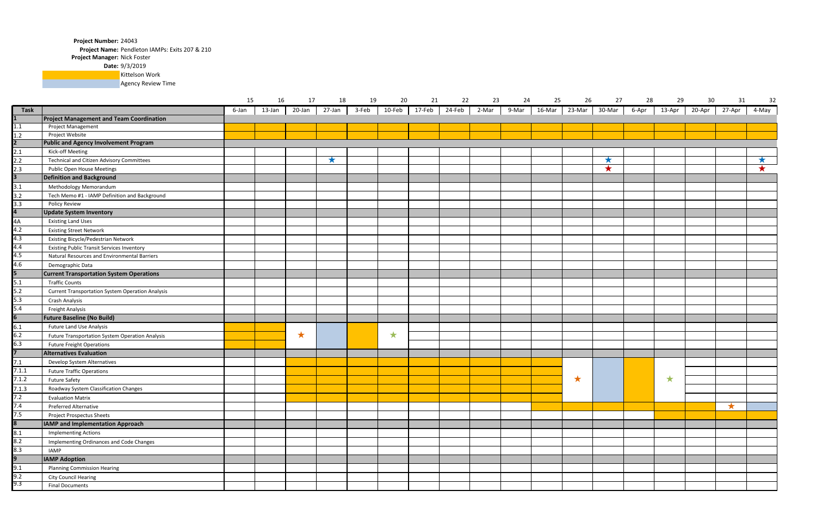Project Name: Pendleton IAMPs: Exits 207 & 210

Project Manager: Nick Foster

9/3/2019 **Date:**

**Kittelson Work** 

**Agency Review Time** 

|       |                                                         | 15    | 16     | 17         | 18         | 19    | 20 | 21            | 22     | 23      | 24 | 25           | 26     | 27         | 28    | 29     | 30     | 31      | 32    |
|-------|---------------------------------------------------------|-------|--------|------------|------------|-------|----|---------------|--------|---------|----|--------------|--------|------------|-------|--------|--------|---------|-------|
| Task  |                                                         | 6-Jan | 13-Jan | 20-Jan     | 27-Jan     | 3-Feb |    | 10-Feb 17-Feb | 24-Feb | $2-Mar$ |    | 9-Mar 16-Mar | 23-Mar | 30-Mar     | 6-Apr | 13-Apr | 20-Apr | 27-Apr  | 4-May |
|       | <b>Project Management and Team Coordination</b>         |       |        |            |            |       |    |               |        |         |    |              |        |            |       |        |        |         |       |
| 1.1   | Project Management                                      |       |        |            |            |       |    |               |        |         |    |              |        |            |       |        |        |         |       |
| 1.2   | Project Website                                         |       |        |            |            |       |    |               |        |         |    |              |        |            |       |        |        |         |       |
|       | <b>Public and Agency Involvement Program</b>            |       |        |            |            |       |    |               |        |         |    |              |        |            |       |        |        |         |       |
| 2.1   | Kick-off Meeting                                        |       |        |            |            |       |    |               |        |         |    |              |        |            |       |        |        |         |       |
| 2.2   | <b>Technical and Citizen Advisory Committees</b>        |       |        |            | $\bigstar$ |       |    |               |        |         |    |              |        | $\bigstar$ |       |        |        |         | ★     |
| 2.3   | <b>Public Open House Meetings</b>                       |       |        |            |            |       |    |               |        |         |    |              |        | ★          |       |        |        |         |       |
|       | <b>Definition and Background</b>                        |       |        |            |            |       |    |               |        |         |    |              |        |            |       |        |        |         |       |
| 3.1   | <b>Methodology Memorandum</b>                           |       |        |            |            |       |    |               |        |         |    |              |        |            |       |        |        |         |       |
| 3.2   | Tech Memo #1 - IAMP Definition and Background           |       |        |            |            |       |    |               |        |         |    |              |        |            |       |        |        |         |       |
| 3.3   | <b>Policy Review</b>                                    |       |        |            |            |       |    |               |        |         |    |              |        |            |       |        |        |         |       |
|       | <b>Update System Inventory</b>                          |       |        |            |            |       |    |               |        |         |    |              |        |            |       |        |        |         |       |
| 4А    | <b>Existing Land Uses</b>                               |       |        |            |            |       |    |               |        |         |    |              |        |            |       |        |        |         |       |
| 4.2   | <b>Existing Street Network</b>                          |       |        |            |            |       |    |               |        |         |    |              |        |            |       |        |        |         |       |
| 4.3   | Existing Bicycle/Pedestrian Network                     |       |        |            |            |       |    |               |        |         |    |              |        |            |       |        |        |         |       |
| 4.4   | <b>Existing Public Transit Services Inventory</b>       |       |        |            |            |       |    |               |        |         |    |              |        |            |       |        |        |         |       |
| 4.5   | Natural Resources and Environmental Barriers            |       |        |            |            |       |    |               |        |         |    |              |        |            |       |        |        |         |       |
| 4.6   | Demographic Data                                        |       |        |            |            |       |    |               |        |         |    |              |        |            |       |        |        |         |       |
|       | <b>Current Transportation System Operations</b>         |       |        |            |            |       |    |               |        |         |    |              |        |            |       |        |        |         |       |
| 5.1   | <b>Traffic Counts</b>                                   |       |        |            |            |       |    |               |        |         |    |              |        |            |       |        |        |         |       |
| 5.2   | <b>Current Transportation System Operation Analysis</b> |       |        |            |            |       |    |               |        |         |    |              |        |            |       |        |        |         |       |
| $5.3$ | Crash Analysis                                          |       |        |            |            |       |    |               |        |         |    |              |        |            |       |        |        |         |       |
| 5.4   | <b>Freight Analysis</b>                                 |       |        |            |            |       |    |               |        |         |    |              |        |            |       |        |        |         |       |
|       | <b>Future Baseline (No Build)</b>                       |       |        |            |            |       |    |               |        |         |    |              |        |            |       |        |        |         |       |
| 6.1   | <b>Future Land Use Analysis</b>                         |       |        |            |            |       |    |               |        |         |    |              |        |            |       |        |        |         |       |
| 6.2   | Future Transportation System Operation Analysis         |       |        | $\bigstar$ |            |       | ★  |               |        |         |    |              |        |            |       |        |        |         |       |
| 6.3   | <b>Future Freight Operations</b>                        |       |        |            |            |       |    |               |        |         |    |              |        |            |       |        |        |         |       |
|       | <b>Alternatives Evaluation</b>                          |       |        |            |            |       |    |               |        |         |    |              |        |            |       |        |        |         |       |
| 7.1   | Develop System Alternatives                             |       |        |            |            |       |    |               |        |         |    |              |        |            |       |        |        |         |       |
| 7.1.1 | <b>Future Traffic Operations</b>                        |       |        |            |            |       |    |               |        |         |    |              |        |            |       |        |        |         |       |
| 7.1.2 | <b>Future Safety</b>                                    |       |        |            |            |       |    |               |        |         |    |              | ★      |            |       | ★      |        |         |       |
| 7.1.3 | Roadway System Classification Changes                   |       |        |            |            |       |    |               |        |         |    |              |        |            |       |        |        |         |       |
| 7.2   | <b>Evaluation Matrix</b>                                |       |        |            |            |       |    |               |        |         |    |              |        |            |       |        |        |         |       |
| 7.4   | Preferred Alternative                                   |       |        |            |            |       |    |               |        |         |    |              |        |            |       |        |        | $\star$ |       |
| 7.5   | Project Prospectus Sheets                               |       |        |            |            |       |    |               |        |         |    |              |        |            |       |        |        |         |       |
|       | IAMP and Implementation Approach                        |       |        |            |            |       |    |               |        |         |    |              |        |            |       |        |        |         |       |
| 8.1   | <b>Implementing Actions</b>                             |       |        |            |            |       |    |               |        |         |    |              |        |            |       |        |        |         |       |
| 8.2   | Implementing Ordinances and Code Changes                |       |        |            |            |       |    |               |        |         |    |              |        |            |       |        |        |         |       |
| 8.3   | IAMP                                                    |       |        |            |            |       |    |               |        |         |    |              |        |            |       |        |        |         |       |
|       | <b>IAMP Adoption</b>                                    |       |        |            |            |       |    |               |        |         |    |              |        |            |       |        |        |         |       |
| 9.1   | <b>Planning Commission Hearing</b>                      |       |        |            |            |       |    |               |        |         |    |              |        |            |       |        |        |         |       |
| 9.2   | <b>City Council Hearing</b>                             |       |        |            |            |       |    |               |        |         |    |              |        |            |       |        |        |         |       |
| 9.3   | <b>Final Documents</b>                                  |       |        |            |            |       |    |               |        |         |    |              |        |            |       |        |        |         |       |
|       |                                                         |       |        |            |            |       |    |               |        |         |    |              |        |            |       |        |        |         |       |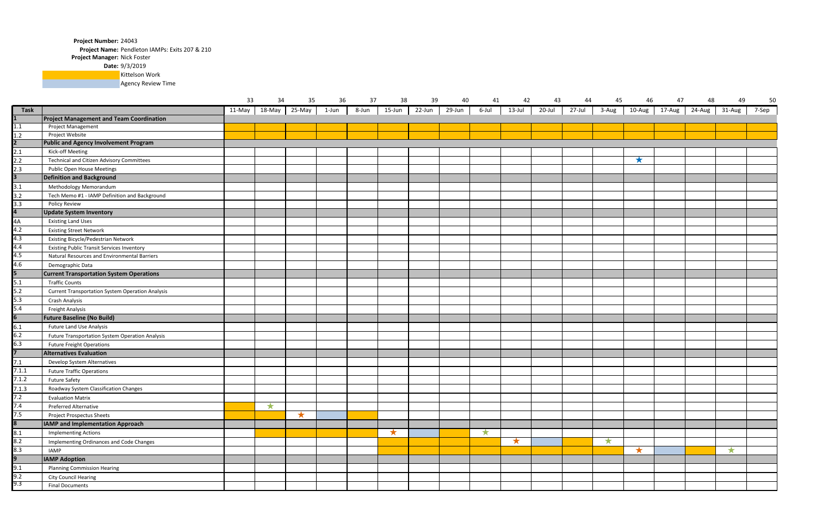Project Name: Pendleton IAMPs: Exits 207 & 210

Project Manager: Nick Foster

9/3/2019 **Date:**

**Kittelson Work** 

**Agency Review Time** 

|                         |                                                         | 33     | 34      | 35         | 36    | 37    | 38      | 39     | 40     | 41      | 42      | 43     | 44     | 45      | 46         | 47                   | 48                   | 49         | 50    |
|-------------------------|---------------------------------------------------------|--------|---------|------------|-------|-------|---------|--------|--------|---------|---------|--------|--------|---------|------------|----------------------|----------------------|------------|-------|
| <b>Task</b>             |                                                         | 11-May | 18-May  | 25-May     | 1-Jun | 8-Jun | 15-Jun  | 22-Jun | 29-Jun | 6-Jul   | 13-Jul  | 20-Jul | 27-Jul | 3-Aug   | $10-Aug$   | $\overline{17}$ -Aug | $\overline{24}$ -Aug | 31-Aug     | 7-Sep |
|                         | <b>Project Management and Team Coordination</b>         |        |         |            |       |       |         |        |        |         |         |        |        |         |            |                      |                      |            |       |
| 1.1                     | Project Management                                      |        |         |            |       |       |         |        |        |         |         |        |        |         |            |                      |                      |            |       |
| 1.2                     | Project Website                                         |        |         |            |       |       |         |        |        |         |         |        |        |         |            |                      |                      |            |       |
| $\overline{2}$          | <b>Public and Agency Involvement Program</b>            |        |         |            |       |       |         |        |        |         |         |        |        |         |            |                      |                      |            |       |
| 2.1                     | Kick-off Meeting                                        |        |         |            |       |       |         |        |        |         |         |        |        |         |            |                      |                      |            |       |
| 2.2                     | Technical and Citizen Advisory Committees               |        |         |            |       |       |         |        |        |         |         |        |        |         | $\bigstar$ |                      |                      |            |       |
| 2.3                     | <b>Public Open House Meetings</b>                       |        |         |            |       |       |         |        |        |         |         |        |        |         |            |                      |                      |            |       |
| $\overline{3}$          | <b>Definition and Background</b>                        |        |         |            |       |       |         |        |        |         |         |        |        |         |            |                      |                      |            |       |
| 3.1                     | Methodology Memorandum                                  |        |         |            |       |       |         |        |        |         |         |        |        |         |            |                      |                      |            |       |
| 3.2                     | Tech Memo #1 - IAMP Definition and Background           |        |         |            |       |       |         |        |        |         |         |        |        |         |            |                      |                      |            |       |
| 3.3                     | <b>Policy Review</b>                                    |        |         |            |       |       |         |        |        |         |         |        |        |         |            |                      |                      |            |       |
| $\overline{a}$          | <b>Update System Inventory</b>                          |        |         |            |       |       |         |        |        |         |         |        |        |         |            |                      |                      |            |       |
| 4A                      | <b>Existing Land Uses</b>                               |        |         |            |       |       |         |        |        |         |         |        |        |         |            |                      |                      |            |       |
| 4.2                     | <b>Existing Street Network</b>                          |        |         |            |       |       |         |        |        |         |         |        |        |         |            |                      |                      |            |       |
| 4.3                     | <b>Existing Bicycle/Pedestrian Network</b>              |        |         |            |       |       |         |        |        |         |         |        |        |         |            |                      |                      |            |       |
| 4.4                     | <b>Existing Public Transit Services Inventory</b>       |        |         |            |       |       |         |        |        |         |         |        |        |         |            |                      |                      |            |       |
| 4.5                     | Natural Resources and Environmental Barriers            |        |         |            |       |       |         |        |        |         |         |        |        |         |            |                      |                      |            |       |
| 4.6                     | Demographic Data                                        |        |         |            |       |       |         |        |        |         |         |        |        |         |            |                      |                      |            |       |
| $\overline{5}$          | <b>Current Transportation System Operations</b>         |        |         |            |       |       |         |        |        |         |         |        |        |         |            |                      |                      |            |       |
| $5.1$                   | <b>Traffic Counts</b>                                   |        |         |            |       |       |         |        |        |         |         |        |        |         |            |                      |                      |            |       |
| 5.2                     | <b>Current Transportation System Operation Analysis</b> |        |         |            |       |       |         |        |        |         |         |        |        |         |            |                      |                      |            |       |
| 5.3                     | Crash Analysis                                          |        |         |            |       |       |         |        |        |         |         |        |        |         |            |                      |                      |            |       |
| 5.4                     | Freight Analysis                                        |        |         |            |       |       |         |        |        |         |         |        |        |         |            |                      |                      |            |       |
| $\overline{6}$          | <b>Future Baseline (No Build)</b>                       |        |         |            |       |       |         |        |        |         |         |        |        |         |            |                      |                      |            |       |
| 6.1                     | <b>Future Land Use Analysis</b>                         |        |         |            |       |       |         |        |        |         |         |        |        |         |            |                      |                      |            |       |
| 6.2                     | <b>Future Transportation System Operation Analysis</b>  |        |         |            |       |       |         |        |        |         |         |        |        |         |            |                      |                      |            |       |
| 6.3                     | <b>Future Freight Operations</b>                        |        |         |            |       |       |         |        |        |         |         |        |        |         |            |                      |                      |            |       |
| $\overline{7}$          | <b>Alternatives Evaluation</b>                          |        |         |            |       |       |         |        |        |         |         |        |        |         |            |                      |                      |            |       |
| 7.1                     | Develop System Alternatives                             |        |         |            |       |       |         |        |        |         |         |        |        |         |            |                      |                      |            |       |
| 7.1.1                   | <b>Future Traffic Operations</b>                        |        |         |            |       |       |         |        |        |         |         |        |        |         |            |                      |                      |            |       |
| 7.1.2                   | <b>Future Safety</b>                                    |        |         |            |       |       |         |        |        |         |         |        |        |         |            |                      |                      |            |       |
| 7.1.3                   | Roadway System Classification Changes                   |        |         |            |       |       |         |        |        |         |         |        |        |         |            |                      |                      |            |       |
| 7.2                     | <b>Evaluation Matrix</b>                                |        |         |            |       |       |         |        |        |         |         |        |        |         |            |                      |                      |            |       |
| 7.4                     | <b>Preferred Alternative</b>                            |        | $\star$ |            |       |       |         |        |        |         |         |        |        |         |            |                      |                      |            |       |
| 7.5                     | <b>Project Prospectus Sheets</b>                        |        |         | $\bigstar$ |       |       |         |        |        |         |         |        |        |         |            |                      |                      |            |       |
| $\overline{\mathbf{8}}$ | <b>IAMP and Implementation Approach</b>                 |        |         |            |       |       |         |        |        |         |         |        |        |         |            |                      |                      |            |       |
| 8.1                     | <b>Implementing Actions</b>                             |        |         |            |       |       | $\star$ |        |        | $\star$ |         |        |        |         |            |                      |                      |            |       |
| 8.2                     | Implementing Ordinances and Code Changes                |        |         |            |       |       |         |        |        |         | $\star$ |        |        | $\star$ |            |                      |                      |            |       |
| 8.3                     | IAMP                                                    |        |         |            |       |       |         |        |        |         |         |        |        |         | $\star$    |                      |                      | $\bigstar$ |       |
| 9                       | <b>IAMP Adoption</b>                                    |        |         |            |       |       |         |        |        |         |         |        |        |         |            |                      |                      |            |       |
| 9.1                     | <b>Planning Commission Hearing</b>                      |        |         |            |       |       |         |        |        |         |         |        |        |         |            |                      |                      |            |       |
| 9.2                     |                                                         |        |         |            |       |       |         |        |        |         |         |        |        |         |            |                      |                      |            |       |
| 9.3                     | <b>City Council Hearing</b>                             |        |         |            |       |       |         |        |        |         |         |        |        |         |            |                      |                      |            |       |
|                         | <b>Final Documents</b>                                  |        |         |            |       |       |         |        |        |         |         |        |        |         |            |                      |                      |            |       |